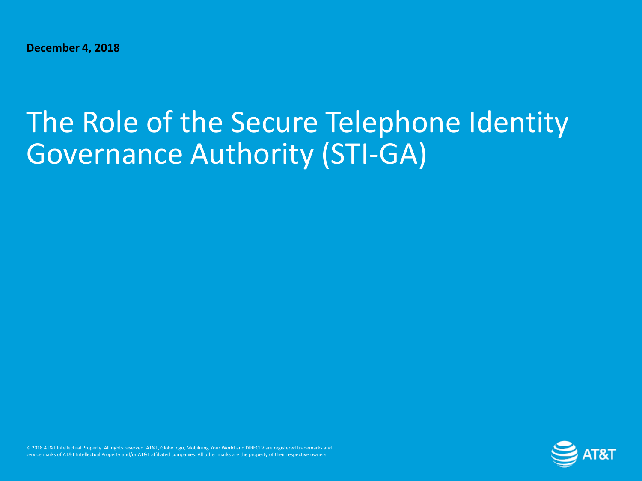**December 4, 2018**

# The Role of the Secure Telephone Identity Governance Authority (STI-GA)

© 2018 AT&T Intellectual Property. All rights reserved. AT&T, Globe logo, Mobilizing Your World and DIRECTV are registered trademarks and service marks of AT&T Intellectual Property and/or AT&T affiliated companies. All other marks are the property of their respective owners.

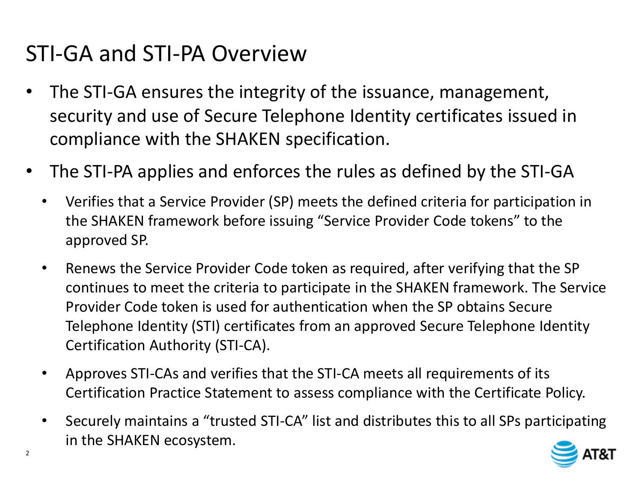#### STI-GA and STI-PA Overview

- The STI-GA ensures the integrity of the issuance, management, security and use of Secure Telephone Identity certificates issued in compliance with the SHAKEN specification.
- The STI-PA applies and enforces the rules as defined by the STI-GA
	- Verifies that a Service Provider (SP) meets the defined criteria for participation in the SHAKEN framework before issuing "Service Provider Code tokens" to the approved SP.
	- Renews the Service Provider Code token as required, after verifying that the SP continues to meet the criteria to participate in the SHAKEN framework. The Service Provider Code token is used for authentication when the SP obtains Secure Telephone Identity (STI) certificates from an approved Secure Telephone Identity Certification Authority (STI-CA).
	- Approves STI-CAs and verifies that the STI-CA meets all requirements of its Certification Practice Statement to assess compliance with the Certificate Policy.
	- Securely maintains a "trusted STI-CA" list and distributes this to all SPs participating in the SHAKEN ecosystem.

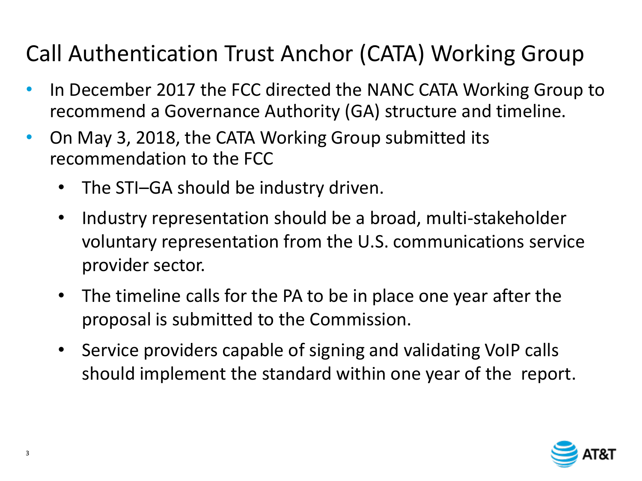## Call Authentication Trust Anchor (CATA) Working Group

- In December 2017 the FCC directed the NANC CATA Working Group to recommend a Governance Authority (GA) structure and timeline.
- On May 3, 2018, the CATA Working Group submitted its recommendation to the FCC
	- The STI-GA should be industry driven.
	- Industry representation should be a broad, multi-stakeholder voluntary representation from the U.S. communications service provider sector.
	- The timeline calls for the PA to be in place one year after the proposal is submitted to the Commission.
	- Service providers capable of signing and validating VoIP calls should implement the standard within one year of the report.

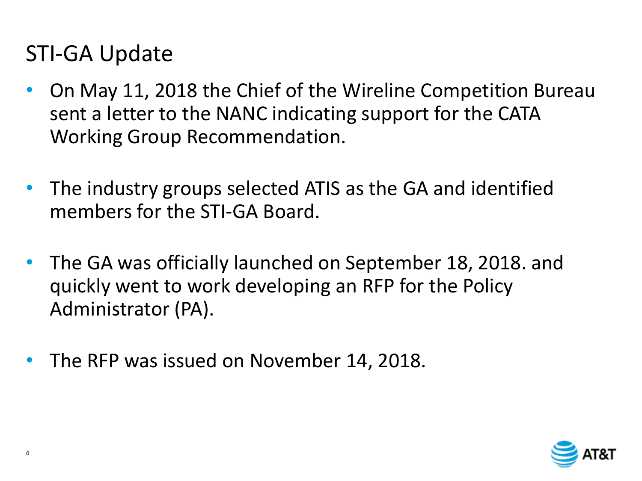#### STI-GA Update

- On May 11, 2018 the Chief of the Wireline Competition Bureau sent a letter to the NANC indicating support for the CATA Working Group Recommendation.
- The industry groups selected ATIS as the GA and identified members for the STI-GA Board.
- The GA was officially launched on September 18, 2018. and quickly went to work developing an RFP for the Policy Administrator (PA).
- The RFP was issued on November 14, 2018.

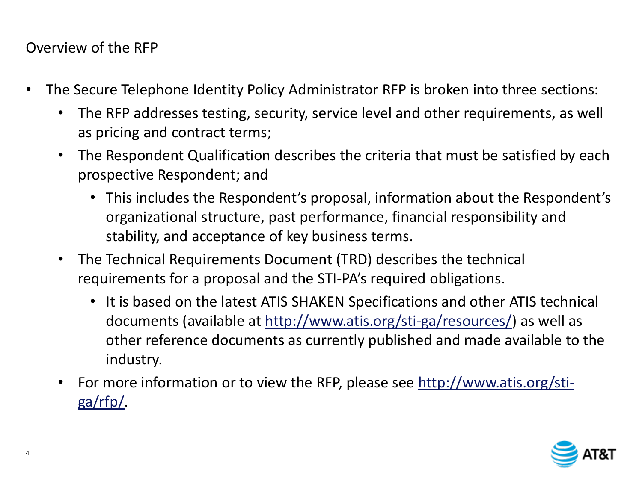Overview of the RFP

- The Secure Telephone Identity Policy Administrator RFP is broken into three sections:
	- The RFP addresses testing, security, service level and other requirements, as well as pricing and contract terms;
	- The Respondent Qualification describes the criteria that must be satisfied by each prospective Respondent; and
		- This includes the Respondent's proposal, information about the Respondent's organizational structure, past performance, financial responsibility and stability, and acceptance of key business terms.
	- The Technical Requirements Document (TRD) describes the technical requirements for a proposal and the STI-PA's required obligations.
		- It is based on the latest ATIS SHAKEN Specifications and other ATIS technical documents (available at<http://www.atis.org/sti-ga/resources/>) as well as other reference documents as currently published and made available to the industry.
	- For more information or to view the RFP, please see [http://www.atis.org/sti](http://www.atis.org/sti-ga/rfp/)[ga/rfp/.](http://www.atis.org/sti-ga/rfp/)

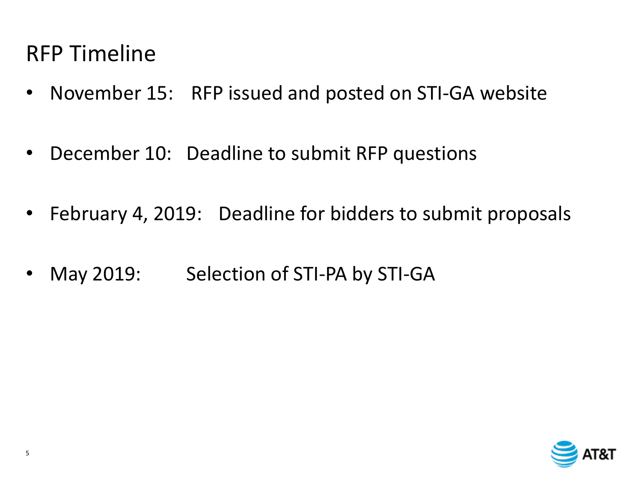#### RFP Timeline

- November 15: RFP issued and posted on STI-GA website
- December 10: Deadline to submit RFP questions
- February 4, 2019: Deadline for bidders to submit proposals
- May 2019: Selection of STI-PA by STI-GA